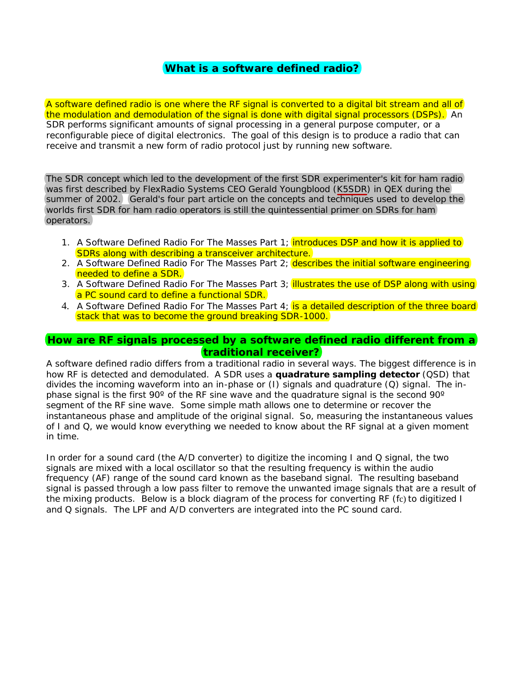# **What is a software defined radio?**

A software defined radio is one where the RF signal is converted to a digital bit stream and all of the modulation and demodulation of the signal is done with digital signal processors (DSPs). An SDR performs significant amounts of signal processing in a general purpose computer, or a reconfigurable piece of digital electronics. The goal of this design is to produce a radio that can receive and transmit a new form of radio protocol just by running new software.

The SDR concept which led to the development of the first SDR experimenter's kit for ham radio was first described by FlexRadio Systems CEO Gerald Youngblood (K5SDR) in QEX during the summer of 2002. Gerald's four part article on the concepts and techniques used to develop the worlds first SDR for ham radio operators is still the quintessential primer on SDRs for ham operators.

- 1. A Software Defined Radio For The Masses Part 1; **introduces DSP and how it is applied to** SDRs along with describing a transceiver architecture.
- 2. A Software Defined Radio For The Masses Part 2; describes the initial software engineering needed to define a SDR.
- 3. A Software Defined Radio For The Masses Part 3; *illustrates the use of DSP along with using* a PC sound card to define a functional SDR.
- 4. A Software Defined Radio For The Masses Part 4; is a detailed description of the three board stack that was to become the ground breaking SDR-1000.

#### **How are RF signals processed by a software defined radio different from a traditional receiver?**

A software defined radio differs from a traditional radio in several ways. The biggest difference is in how RF is detected and demodulated. A SDR uses a **quadrature sampling detector** (QSD) that divides the incoming waveform into an in-phase or (I) signals and quadrature (Q) signal. The inphase signal is the first 90 $^{\circ}$  of the RF sine wave and the quadrature signal is the second 90 $^{\circ}$ segment of the RF sine wave. Some simple math allows one to determine or recover the instantaneous phase and amplitude of the original signal. So, measuring the instantaneous values of I and Q, we would know everything we needed to know about the RF signal at a given moment in time.

In order for a sound card (the A/D converter) to digitize the incoming I and Q signal, the two signals are mixed with a local oscillator so that the resulting frequency is within the audio frequency (AF) range of the sound card known as the baseband signal. The resulting baseband signal is passed through a low pass filter to remove the unwanted image signals that are a result of the mixing products. Below is a block diagram of the process for converting RF (fc) to digitized I and Q signals. The LPF and A/D converters are integrated into the PC sound card.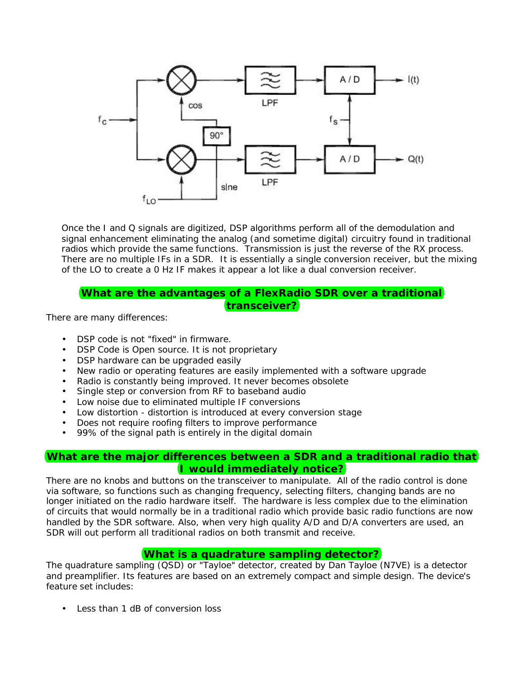

Once the I and Q signals are digitized, DSP algorithms perform all of the demodulation and signal enhancement eliminating the analog (and sometime digital) circuitry found in traditional radios which provide the same functions. Transmission is just the reverse of the RX process. There are no multiple IFs in a SDR. It is essentially a single conversion receiver, but the mixing of the LO to create a 0 Hz IF makes it appear a lot like a dual conversion receiver.

# **What are the advantages of a FlexRadio SDR over a traditional transceiver?**

There are many differences:

- DSP code is not "fixed" in firmware.
- DSP Code is Open source. It is not proprietary
- DSP hardware can be upgraded easily
- New radio or operating features are easily implemented with a software upgrade
- Radio is constantly being improved. It never becomes obsolete
- Single step or conversion from RF to baseband audio
- Low noise due to eliminated multiple IF conversions
- Low distortion distortion is introduced at every conversion stage
- Does not require roofing filters to improve performance
- 99% of the signal path is entirely in the digital domain

### **What are the major differences between a SDR and a traditional radio that I would immediately notice?**

There are no knobs and buttons on the transceiver to manipulate. All of the radio control is done via software, so functions such as changing frequency, selecting filters, changing bands are no longer initiated on the radio hardware itself. The hardware is less complex due to the elimination of circuits that would normally be in a traditional radio which provide basic radio functions are now handled by the SDR software. Also, when very high quality A/D and D/A converters are used, an SDR will out perform all traditional radios on both transmit and receive.

# **What is a quadrature sampling detector?**

The quadrature sampling (QSD) or "Tayloe" detector, created by Dan Tayloe (N7VE) is a detector and preamplifier. Its features are based on an extremely compact and simple design. The device's feature set includes:

• Less than 1 dB of conversion loss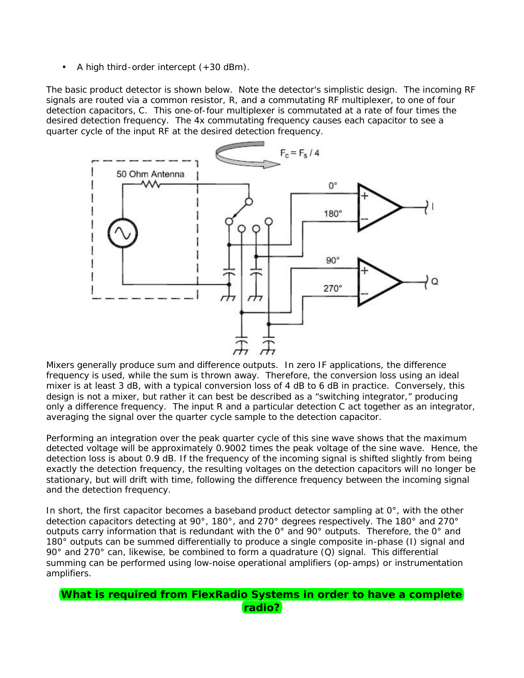A high third-order intercept  $(+30$  dBm).

The basic product detector is shown below. Note the detector's simplistic design. The incoming RF signals are routed via a common resistor, *R,* and a commutating RF multiplexer, to one of four detection capacitors, *C*. This one-of-four multiplexer is commutated at a rate of four times the desired detection frequency. The 4x commutating frequency causes each capacitor to see a quarter cycle of the input RF at the desired detection frequency.



Mixers generally produce sum and difference outputs. In zero IF applications, the difference frequency is used, while the sum is thrown away. Therefore, the conversion loss using an ideal mixer is at least 3 dB, with a typical conversion loss of 4 dB to 6 dB in practice. Conversely, this design is not a mixer, but rather it can best be described as a "switching integrator," producing only a difference frequency. The input *R* and a particular detection *C* act together as an integrator. averaging the signal over the quarter cycle sample to the detection capacitor.

Performing an integration over the peak quarter cycle of this sine wave shows that the maximum detected voltage will be approximately 0.9002 times the peak voltage of the sine wave. Hence, the detection loss is about 0.9 dB. If the frequency of the incoming signal is shifted slightly from being exactly the detection frequency, the resulting voltages on the detection capacitors will no longer be stationary, but will drift with time, following the difference frequency between the incoming signal and the detection frequency.

In short, the first capacitor becomes a baseband product detector sampling at 0°, with the other detection capacitors detecting at 90°, 180°, and 270° degrees respectively. The 180° and 270° outputs carry information that is redundant with the 0° and 90° outputs. Therefore, the 0° and 180° outputs can be summed differentially to produce a single composite in-phase (I) signal and 90 $^{\circ}$  and 270 $^{\circ}$  can, likewise, be combined to form a quadrature (Q) signal. This differential summing can be performed using low-noise operational amplifiers (op-amps) or instrumentation amplifiers.

```
What is required from FlexRadio Systems in order to have a complete 
                  radio?
```